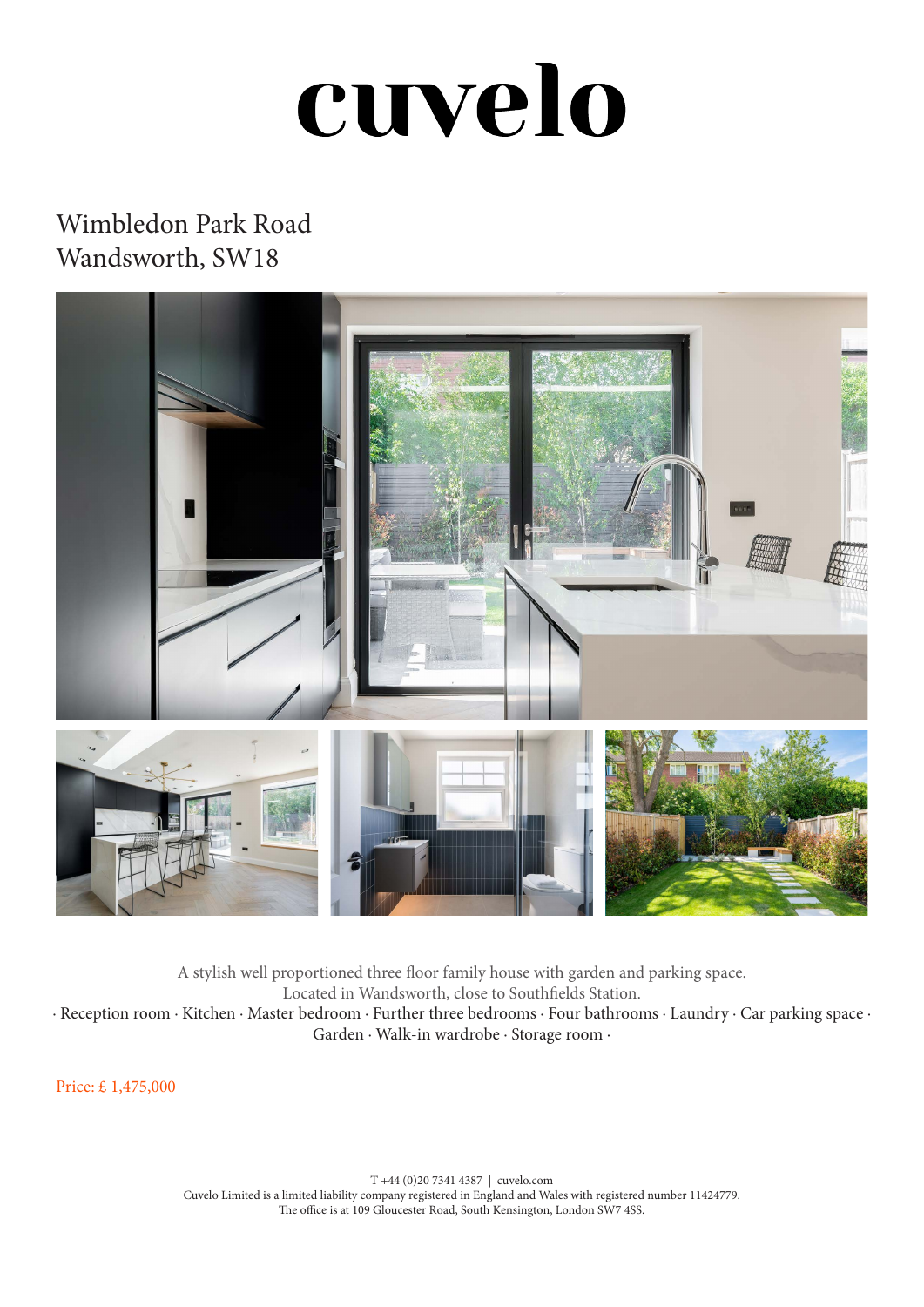## cuvelo

## Wimbledon Park Road Wandsworth, SW18



A stylish well proportioned three floor family house with garden and parking space. Located in Wandsworth, close to Southfields Station. · Reception room · Kitchen · Master bedroom · Further three bedrooms · Four bathrooms · Laundry · Car parking space · Garden · Walk-in wardrobe · Storage room ·

Price: £ 1,475,000

T +44 (0)20 7341 4387 | cuvelo.com Cuvelo Limited is a limited liability company registered in England and Wales with registered number 11424779. The office is at 109 Gloucester Road, South Kensington, London SW7 4SS.